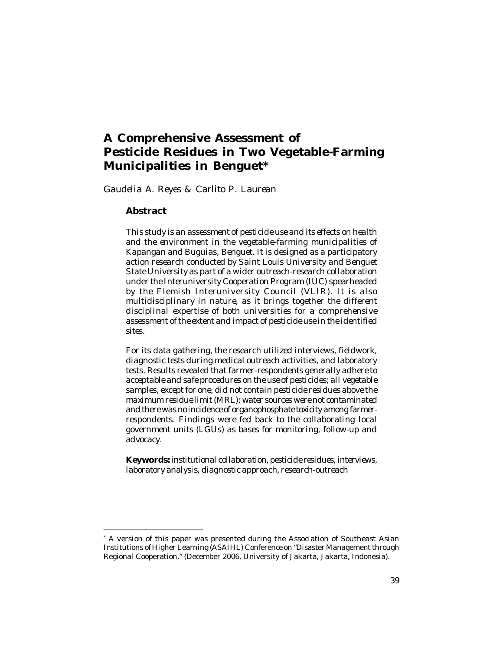# **A Comprehensive Assessment of Pesticide Residues in Two Vegetable-Farming Municipalities in Benguet\***

*Gaudelia A. Reyes & Carlito P. Laurean*

#### **Abstract**

*This study is an assessment of pesticide use and its effects on health and the environment in the vegetable-farming municipalities of Kapangan and Buguias, Benguet. It is designed as a participatory action research conducted by Saint Louis University and Benguet State University as part of a wider outreach-research collaboration under the Interuniversity Cooperation Program (IUC) spearheaded by the Flemish Interuniversity Council (VLIR). It is also multidisciplinary in nature, as it brings together the different disciplinal expertise of both universities for a comprehensive assessment of the extent and impact of pesticide use in the identified sites.*

*For its data gathering, the research utilized interviews, fieldwork, diagnostic tests during medical outreach activities, and laboratory tests. Results revealed that farmer-respondents generally adhere to acceptable and safe procedures on the use of pesticides; all vegetable samples, except for one, did not contain pesticide residues above the maximum residue limit (MRL); water sources were not contaminated and there was no incidence of organophosphate toxicity among farmerrespondents. Findings were fed back to the collaborating local government units (LGUs) as bases for monitoring, follow-up and advocacy.*

**Keywords:** *institutional collaboration, pesticide residues, interviews, laboratory analysis, diagnostic approach, research-outreach*

<sup>\*</sup> A version of this paper was presented during the Association of Southeast Asian Institutions of Higher Learning (ASAIHL) Conference on "Disaster Management through Regional Cooperation," (December 2006, University of Jakarta, Jakarta, Indonesia).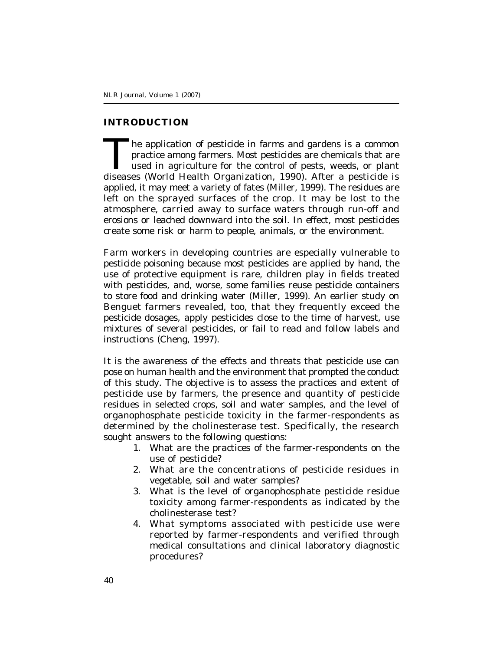### **INTRODUCTION**

The application of pesticide in farms and gardens is a common practice among farmers. Most pesticides are chemicals that are used in agriculture for the control of pests, weeds, or plant diseases (World Health Organization he application of pesticide in farms and gardens is a common practice among farmers. Most pesticides are chemicals that are used in agriculture for the control of pests, weeds, or plant applied, it may meet a variety of fates (Miller, 1999). The residues are left on the sprayed surfaces of the crop. It may be lost to the atmosphere, carried away to surface waters through run-off and erosions or leached downward into the soil. In effect, most pesticides create some risk or harm to people, animals, or the environment.

Farm workers in developing countries are especially vulnerable to pesticide poisoning because most pesticides are applied by hand, the use of protective equipment is rare, children play in fields treated with pesticides, and, worse, some families reuse pesticide containers to store food and drinking water (Miller, 1999). An earlier study on Benguet farmers revealed, too, that they frequently exceed the pesticide dosages, apply pesticides close to the time of harvest, use mixtures of several pesticides, or fail to read and follow labels and instructions (Cheng, 1997).

It is the awareness of the effects and threats that pesticide use can pose on human health and the environment that prompted the conduct of this study. The objective is to assess the practices and extent of pesticide use by farmers, the presence and quantity of pesticide residues in selected crops, soil and water samples, and the level of organophosphate pesticide toxicity in the farmer-respondents as determined by the cholinesterase test. Specifically, the research sought answers to the following questions:

- 1. What are the practices of the farmer-respondents on the use of pesticide?
- 2. What are the concentrations of pesticide residues in vegetable, soil and water samples?
- 3. What is the level of organophosphate pesticide residue toxicity among farmer-respondents as indicated by the cholinesterase test?
- 4. What symptoms associated with pesticide use were reported by farmer-respondents and verified through medical consultations and clinical laboratory diagnostic procedures?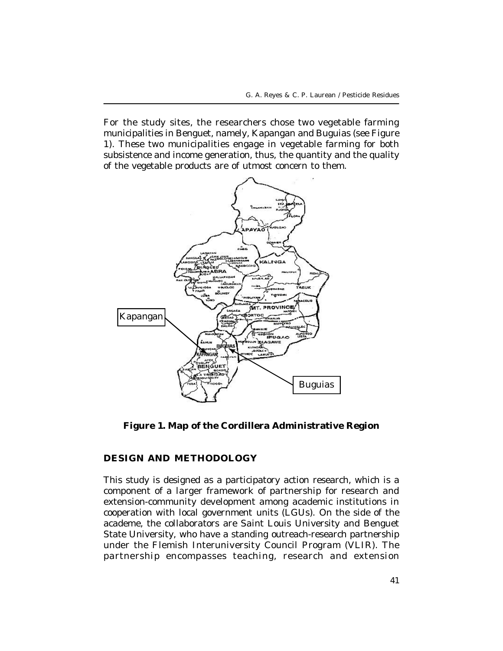For the study sites, the researchers chose two vegetable farming municipalities in Benguet, namely, Kapangan and Buguias (see Figure 1). These two municipalities engage in vegetable farming for both subsistence and income generation, thus, the quantity and the quality of the vegetable products are of utmost concern to them.



**Figure 1. Map of the Cordillera Administrative Region**

### **DESIGN AND METHODOLOGY**

This study is designed as a participatory action research, which is a component of a larger framework of partnership for research and extension-community development among academic institutions in cooperation with local government units (LGUs). On the side of the academe, the collaborators are Saint Louis University and Benguet State University, who have a standing outreach-research partnership under the Flemish Interuniversity Council Program (VLIR). The partnership encompasses teaching, research and extension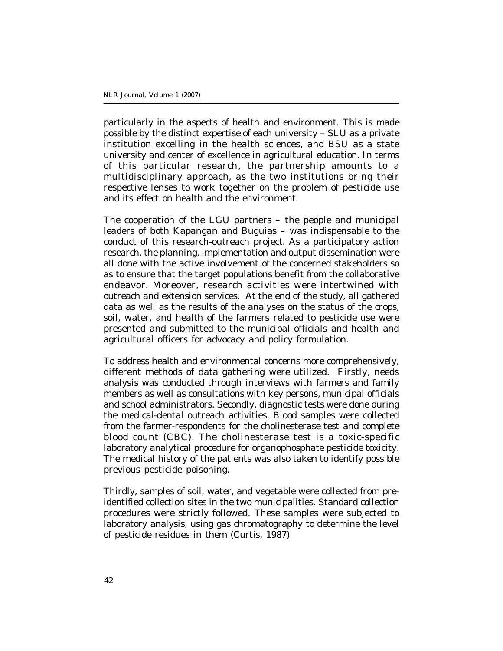particularly in the aspects of health and environment. This is made possible by the distinct expertise of each university – SLU as a private institution excelling in the health sciences, and BSU as a state university and center of excellence in agricultural education. In terms of this particular research, the partnership amounts to a multidisciplinary approach, as the two institutions bring their respective lenses to work together on the problem of pesticide use and its effect on health and the environment.

The cooperation of the LGU partners – the people and municipal leaders of both Kapangan and Buguias – was indispensable to the conduct of this research-outreach project. As a participatory action research, the planning, implementation and output dissemination were all done with the active involvement of the concerned stakeholders so as to ensure that the target populations benefit from the collaborative endeavor. Moreover, research activities were intertwined with outreach and extension services. At the end of the study, all gathered data as well as the results of the analyses on the status of the crops, soil, water, and health of the farmers related to pesticide use were presented and submitted to the municipal officials and health and agricultural officers for advocacy and policy formulation.

To address health and environmental concerns more comprehensively, different methods of data gathering were utilized. Firstly, needs analysis was conducted through interviews with farmers and family members as well as consultations with key persons, municipal officials and school administrators. Secondly, diagnostic tests were done during the medical-dental outreach activities. Blood samples were collected from the farmer-respondents for the cholinesterase test and complete blood count (CBC). The cholinesterase test is a toxic-specific laboratory analytical procedure for organophosphate pesticide toxicity. The medical history of the patients was also taken to identify possible previous pesticide poisoning.

Thirdly, samples of soil, water, and vegetable were collected from preidentified collection sites in the two municipalities. Standard collection procedures were strictly followed. These samples were subjected to laboratory analysis, using gas chromatography to determine the level of pesticide residues in them (Curtis, 1987)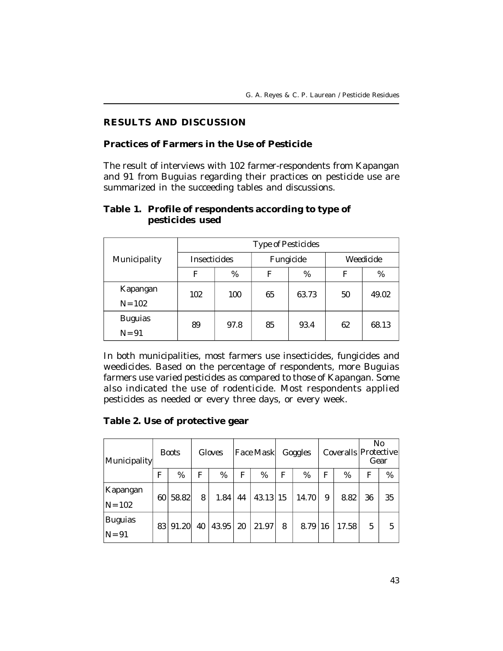# **RESULTS AND DISCUSSION**

#### **Practices of Farmers in the Use of Pesticide**

The result of interviews with 102 farmer-respondents from Kapangan and 91 from Buguias regarding their practices on pesticide use are summarized in the succeeding tables and discussions.

|                | Type of Pesticides |      |           |       |           |       |  |
|----------------|--------------------|------|-----------|-------|-----------|-------|--|
| Municipality   | Insecticides       |      | Fungicide |       | Weedicide |       |  |
|                | F                  | %    | F         | %     | F         | %     |  |
| Kapangan       | 102                | 100  | 65        | 63.73 | 50        | 49.02 |  |
| $N = 102$      |                    |      |           |       |           |       |  |
| <b>Buguias</b> | 89                 | 97.8 | 85        | 93.4  | 62        | 68.13 |  |
| $N = 91$       |                    |      |           |       |           |       |  |

# **Table 1. Profile of respondents according to type of pesticides used**

In both municipalities, most farmers use insecticides, fungicides and weedicides. Based on the percentage of respondents, more Buguias farmers use varied pesticides as compared to those of Kapangan. Some also indicated the use of rodenticide. Most respondents applied pesticides as needed or every three days, or every week.

### **Table 2. Use of protective gear**

| Municipality               |    | <b>Boots</b> |    | Gloves |    | <b>Face Mask</b> |    | Goggles |    | Coveralls   Protective | No<br>Gear |    |
|----------------------------|----|--------------|----|--------|----|------------------|----|---------|----|------------------------|------------|----|
|                            | F  | %            | F  | %      | F  | %                | F  | %       | F  | %                      | F          | %  |
| Kapangan<br>$N = 102$      | 60 | 58.82        | 8  | 1.84   | 44 | 43.13            | 15 | 14.70   | 9  | 8.82                   | 36         | 35 |
| <b>Buguias</b><br>$N = 91$ | 83 | 91.20        | 40 | 43.95  | 20 | 21.97            | 8  | 8.79    | 16 | 17.58                  | 5          | 5  |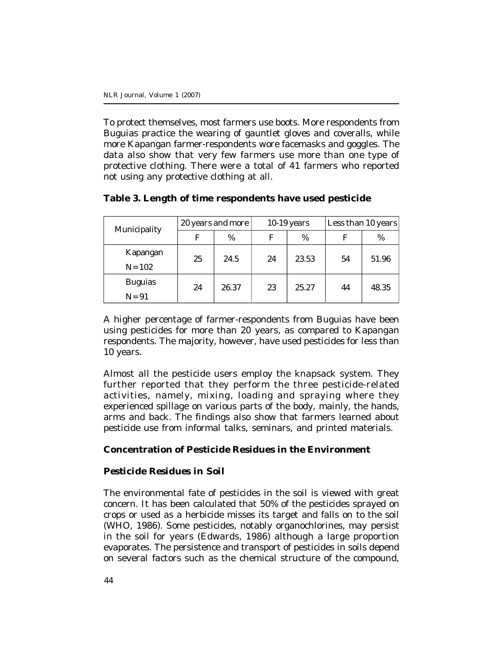To protect themselves, most farmers use boots. More respondents from Buguias practice the wearing of gauntlet gloves and coveralls, while more Kapangan farmer-respondents wore facemasks and goggles. The data also show that very few farmers use more than one type of protective clothing. There were a total of 41 farmers who reported not using any protective clothing at all.

| Municipality   | 20 years and more |       | 10-19 years |       | Less than 10 years |       |
|----------------|-------------------|-------|-------------|-------|--------------------|-------|
|                | F                 | %     | F           | %     |                    | %     |
| Kapangan       | 25                | 24.5  | 24          | 23.53 | 54                 | 51.96 |
| $N = 102$      |                   |       |             |       |                    |       |
| <b>Buguias</b> | 24                | 26.37 | 23          | 25.27 | 44                 | 48.35 |
| $N = 91$       |                   |       |             |       |                    |       |

# **Table 3. Length of time respondents have used pesticide**

A higher percentage of farmer-respondents from Buguias have been using pesticides for more than 20 years, as compared to Kapangan respondents. The majority, however, have used pesticides for less than 10 years.

Almost all the pesticide users employ the knapsack system. They further reported that they perform the three pesticide-related activities, namely, mixing, loading and spraying where they experienced spillage on various parts of the body, mainly, the hands, arms and back. The findings also show that farmers learned about pesticide use from informal talks, seminars, and printed materials.

# **Concentration of Pesticide Residues in the Environment**

### *Pesticide Residues in Soil*

The environmental fate of pesticides in the soil is viewed with great concern. It has been calculated that 50% of the pesticides sprayed on crops or used as a herbicide misses its target and falls on to the soil (WHO, 1986). Some pesticides, notably organochlorines, may persist in the soil for years (Edwards, 1986) although a large proportion evaporates. The persistence and transport of pesticides in soils depend on several factors such as the chemical structure of the compound,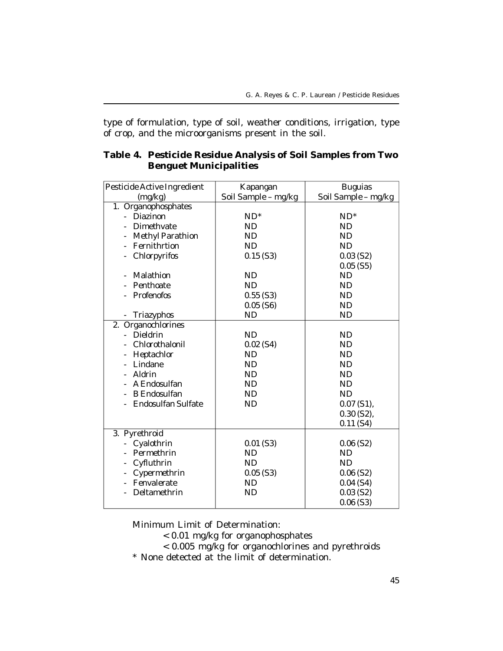type of formulation, type of soil, weather conditions, irrigation, type of crop, and the microorganisms present in the soil.

|           | <b>Buguias</b>                                                                                                                          |
|-----------|-----------------------------------------------------------------------------------------------------------------------------------------|
|           | Soil Sample - mg/kg                                                                                                                     |
|           |                                                                                                                                         |
|           | $ND^*$                                                                                                                                  |
|           | <b>ND</b>                                                                                                                               |
| <b>ND</b> | <b>ND</b>                                                                                                                               |
|           | <b>ND</b>                                                                                                                               |
| 0.15(S3)  | 0.03(S2)                                                                                                                                |
|           | $0.05$ (S5)                                                                                                                             |
| ND        | <b>ND</b>                                                                                                                               |
| <b>ND</b> | <b>ND</b>                                                                                                                               |
| 0.55(S3)  | <b>ND</b>                                                                                                                               |
| 0.05(S6)  | <b>ND</b>                                                                                                                               |
| ND        | <b>ND</b>                                                                                                                               |
|           |                                                                                                                                         |
| <b>ND</b> | <b>ND</b>                                                                                                                               |
| 0.02(S4)  | <b>ND</b>                                                                                                                               |
| ND        | <b>ND</b>                                                                                                                               |
| <b>ND</b> | <b>ND</b>                                                                                                                               |
| <b>ND</b> | <b>ND</b>                                                                                                                               |
| <b>ND</b> | <b>ND</b>                                                                                                                               |
| <b>ND</b> | <b>ND</b>                                                                                                                               |
|           | $0.07$ (S1),                                                                                                                            |
|           | $0.30$ (S2),                                                                                                                            |
|           | 0.11(S4)                                                                                                                                |
|           |                                                                                                                                         |
|           | 0.06(S2)                                                                                                                                |
|           | <b>ND</b>                                                                                                                               |
| <b>ND</b> | <b>ND</b>                                                                                                                               |
|           | 0.06(S2)                                                                                                                                |
|           | $0.04$ (S4)                                                                                                                             |
|           | $0.03$ (S2)                                                                                                                             |
|           | $0.06($ S3)                                                                                                                             |
|           | Kapangan<br>Soil Sample - mg/kg<br>$ND^*$<br>ND<br><b>ND</b><br><b>ND</b><br>$0.01$ (S3)<br><b>ND</b><br>$0.05$ (S3)<br>ND<br><b>ND</b> |

# **Table 4. Pesticide Residue Analysis of Soil Samples from Two Benguet Municipalities**

Minimum Limit of Determination:

- < 0.01 mg/kg for organophosphates
- < 0.005 mg/kg for organochlorines and pyrethroids
- \* None detected at the limit of determination.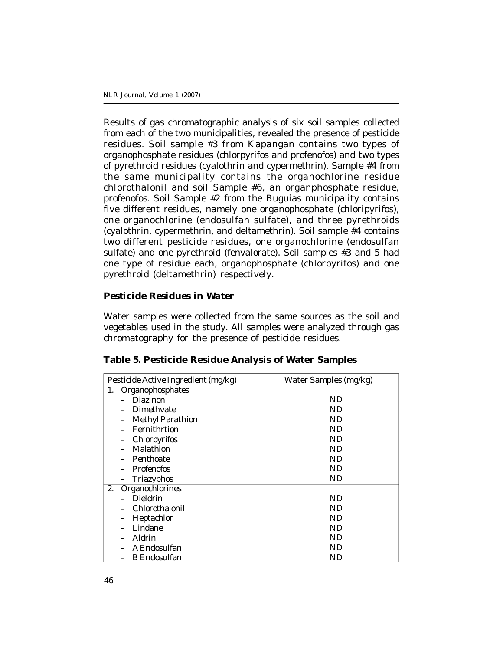Results of gas chromatographic analysis of six soil samples collected from each of the two municipalities, revealed the presence of pesticide residues. Soil sample #3 from Kapangan contains two types of organophosphate residues (chlorpyrifos and profenofos) and two types of pyrethroid residues (cyalothrin and cypermethrin). Sample #4 from the same municipality contains the organochlorine residue chlorothalonil and soil Sample #6, an organphosphate residue, profenofos. Soil Sample #2 from the Buguias municipality contains five different residues, namely one organophosphate (chloripyrifos), one organochlorine (endosulfan sulfate), and three pyrethroids (cyalothrin, cypermethrin, and deltamethrin). Soil sample #4 contains two different pesticide residues, one organochlorine (endosulfan sulfate) and one pyrethroid (fenvalorate). Soil samples #3 and 5 had one type of residue each, organophosphate (chlorpyrifos) and one pyrethroid (deltamethrin) respectively.

### *Pesticide Residues in Water*

Water samples were collected from the same sources as the soil and vegetables used in the study. All samples were analyzed through gas chromatography for the presence of pesticide residues.

| Table 5. Pesticide Residue Analysis of Water Samples |  |
|------------------------------------------------------|--|
|------------------------------------------------------|--|

| Pesticide Active Ingredient (mg/kg) | Water Samples (mg/kg) |
|-------------------------------------|-----------------------|
| Organophosphates<br>1.              |                       |
| Diazinon                            | ND                    |
| Dimethyate                          | ND                    |
| Methyl Parathion                    | <b>ND</b>             |
| Fernithrtion                        | ND                    |
| Chlorpyrifos                        | <b>ND</b>             |
| Malathion                           | <b>ND</b>             |
| Penthoate                           | <b>ND</b>             |
| Profenofos                          | <b>ND</b>             |
| Triazyphos                          | ND                    |
| 2.<br>Organochlorines               |                       |
| Dieldrin                            | ND                    |
| Chlorothalonil                      | <b>ND</b>             |
| Heptachlor                          | <b>ND</b>             |
| Lindane                             | <b>ND</b>             |
| Aldrin                              | <b>ND</b>             |
| A Endosulfan                        | <b>ND</b>             |
| <b>B</b> Endosulfan                 | ND                    |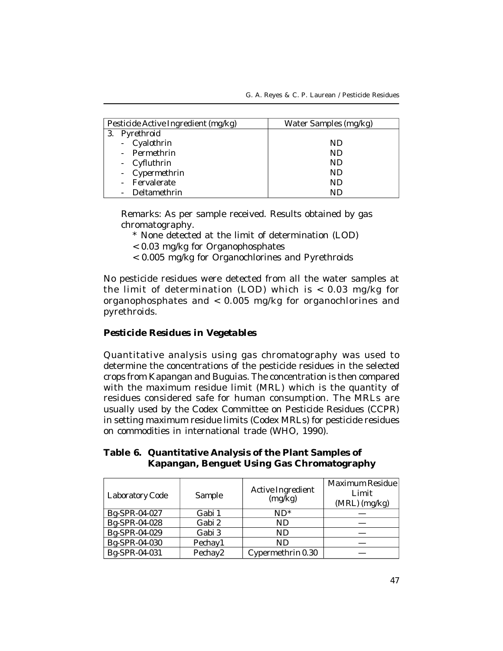| Pesticide Active Ingredient (mg/kg) | Water Samples (mg/kg) |
|-------------------------------------|-----------------------|
| 3. Pyrethroid                       |                       |
| - Cyalothrin                        | ND.                   |
| - Permethrin                        | ND.                   |
| - Cyfluthrin                        | ND.                   |
| - Cypermethrin                      | ND.                   |
| - Fervalerate                       | ND.                   |
| Deltamethrin                        | ND                    |

Remarks: As per sample received. Results obtained by gas chromatography.

- \* None detected at the limit of determination (LOD)
- < 0.03 mg/kg for Organophosphates
- < 0.005 mg/kg for Organochlorines and Pyrethroids

No pesticide residues were detected from all the water samples at the limit of determination (LOD) which is < 0.03 mg/kg for organophosphates and < 0.005 mg/kg for organochlorines and pyrethroids.

#### *Pesticide Residues in Vegetables*

Quantitative analysis using gas chromatography was used to determine the concentrations of the pesticide residues in the selected crops from Kapangan and Buguias. The concentration is then compared with the maximum residue limit (MRL) which is the quantity of residues considered safe for human consumption. The MRLs are usually used by the Codex Committee on Pesticide Residues (CCPR) in setting maximum residue limits (Codex MRLs) for pesticide residues on commodities in international trade (WHO, 1990).

# **Table 6. Quantitative Analysis of the Plant Samples of Kapangan, Benguet Using Gas Chromatography**

| Laboratory Code | Sample  | Active Ingredient<br>(mq/kg) | Maximum Residue<br>Limit<br>$(MRL)$ (mg/kg) |
|-----------------|---------|------------------------------|---------------------------------------------|
| Bg-SPR-04-027   | Gabi 1  | $ND^*$                       |                                             |
| Bq-SPR-04-028   | Gabi 2  | ND                           |                                             |
| Bq-SPR-04-029   | Gabi 3  | ND.                          |                                             |
| Bg-SPR-04-030   | Pechay1 | ND.                          |                                             |
| Bg-SPR-04-031   | Pechay2 | Cypermethrin 0.30            |                                             |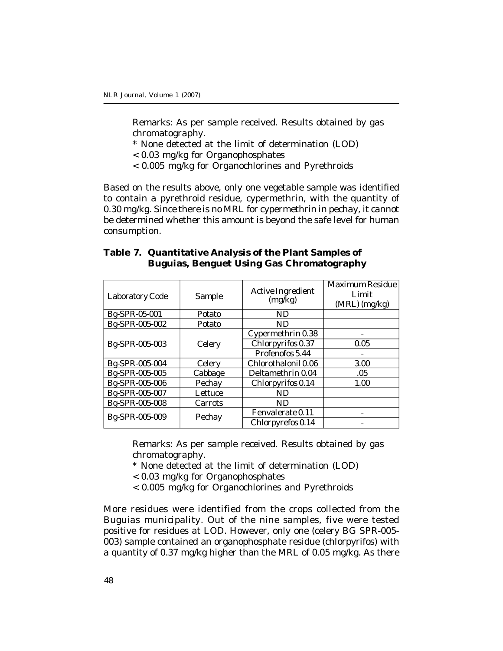Remarks: As per sample received. Results obtained by gas chromatography.

- \* None detected at the limit of determination (LOD)
- < 0.03 mg/kg for Organophosphates
- < 0.005 mg/kg for Organochlorines and Pyrethroids

Based on the results above, only one vegetable sample was identified to contain a pyrethroid residue, cypermethrin, with the quantity of 0.30 mg/kg. Since there is no MRL for cypermethrin in pechay, it cannot be determined whether this amount is beyond the safe level for human consumption.

### **Table 7. Quantitative Analysis of the Plant Samples of Buguias, Benguet Using Gas Chromatography**

| Laboratory Code | Sample  | Active Ingredient<br>(mg/kg) | Maximum Residue<br>Limit<br>(MRL) (mg/kg) |
|-----------------|---------|------------------------------|-------------------------------------------|
| Bg-SPR-05-001   | Potato  | ND.                          |                                           |
| Bg-SPR-005-002  | Potato  | <b>ND</b>                    |                                           |
|                 |         | Cypermethrin 0.38            |                                           |
| Bg-SPR-005-003  | Celery  | Chlorpyrifos 0.37            | 0.05                                      |
|                 |         | Profenofos 5.44              |                                           |
| Bq-SPR-005-004  | Celery  | Chlorothalonil 0.06          | 3.00                                      |
| Bq-SPR-005-005  | Cabbage | Deltamethrin 0.04            | .05                                       |
| Bq-SPR-005-006  | Pechav  | Chlorpyrifos 0.14            | 1.00                                      |
| Bg-SPR-005-007  | Lettuce | ND.                          |                                           |
| Bg-SPR-005-008  | Carrots | ND.                          |                                           |
| Bg-SPR-005-009  |         | Fenvalerate 0.11             |                                           |
|                 | Pechay  | Chlorpyrefos 0.14            |                                           |

Remarks: As per sample received. Results obtained by gas chromatography.

- \* None detected at the limit of determination (LOD)
- < 0.03 mg/kg for Organophosphates
- < 0.005 mg/kg for Organochlorines and Pyrethroids

More residues were identified from the crops collected from the Buguias municipality. Out of the nine samples, five were tested positive for residues at LOD. However, only one (celery BG SPR-005- 003) sample contained an organophosphate residue (chlorpyrifos) with a quantity of 0.37 mg/kg higher than the MRL of 0.05 mg/kg. As there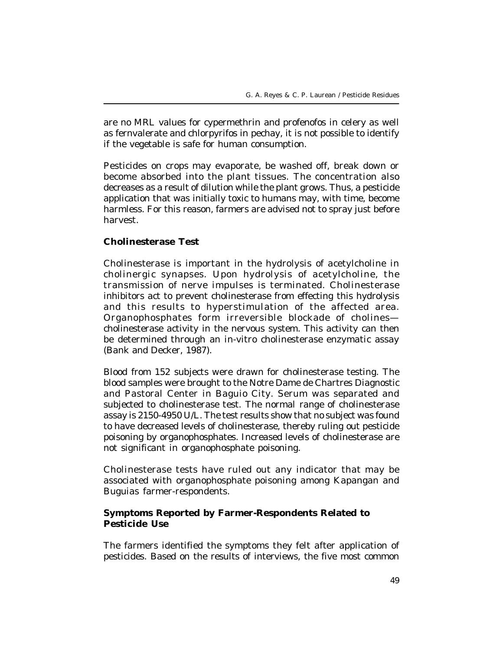are no MRL values for cypermethrin and profenofos in celery as well as fernvalerate and chlorpyrifos in pechay, it is not possible to identify if the vegetable is safe for human consumption.

Pesticides on crops may evaporate, be washed off, break down or become absorbed into the plant tissues. The concentration also decreases as a result of dilution while the plant grows. Thus, a pesticide application that was initially toxic to humans may, with time, become harmless. For this reason, farmers are advised not to spray just before harvest.

### **Cholinesterase Test**

Cholinesterase is important in the hydrolysis of acetylcholine in cholinergic synapses. Upon hydrolysis of acetylcholine, the transmission of nerve impulses is terminated. Cholinesterase inhibitors act to prevent cholinesterase from effecting this hydrolysis and this results to hyperstimulation of the affected area. Organophosphates form irreversible blockade of cholines cholinesterase activity in the nervous system. This activity can then be determined through an in-vitro cholinesterase enzymatic assay (Bank and Decker, 1987).

Blood from 152 subjects were drawn for cholinesterase testing. The blood samples were brought to the Notre Dame de Chartres Diagnostic and Pastoral Center in Baguio City. Serum was separated and subjected to cholinesterase test. The normal range of cholinesterase assay is 2150-4950 U/L. The test results show that no subject was found to have decreased levels of cholinesterase, thereby ruling out pesticide poisoning by organophosphates. Increased levels of cholinesterase are not significant in organophosphate poisoning.

Cholinesterase tests have ruled out any indicator that may be associated with organophosphate poisoning among Kapangan and Buguias farmer-respondents.

### **Symptoms Reported by Farmer-Respondents Related to Pesticide Use**

The farmers identified the symptoms they felt after application of pesticides. Based on the results of interviews, the five most common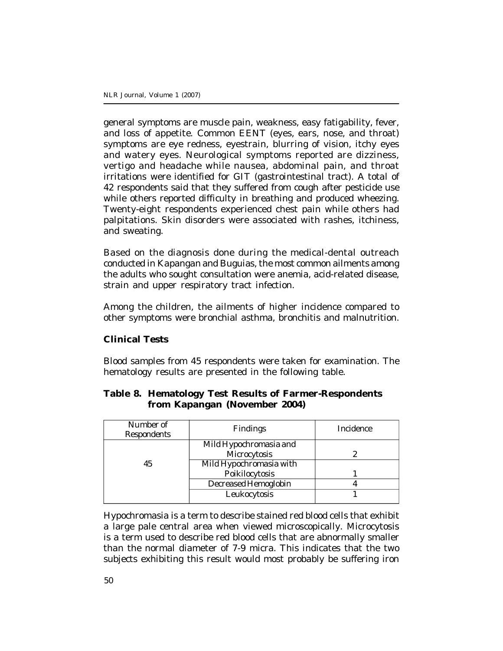general symptoms are muscle pain, weakness, easy fatigability, fever, and loss of appetite. Common EENT (eyes, ears, nose, and throat) symptoms are eye redness, eyestrain, blurring of vision, itchy eyes and watery eyes. Neurological symptoms reported are dizziness, vertigo and headache while nausea, abdominal pain, and throat irritations were identified for GIT (gastrointestinal tract). A total of 42 respondents said that they suffered from cough after pesticide use while others reported difficulty in breathing and produced wheezing. Twenty-eight respondents experienced chest pain while others had palpitations. Skin disorders were associated with rashes, itchiness, and sweating.

Based on the diagnosis done during the medical-dental outreach conducted in Kapangan and Buguias, the most common ailments among the adults who sought consultation were anemia, acid-related disease, strain and upper respiratory tract infection.

Among the children, the ailments of higher incidence compared to other symptoms were bronchial asthma, bronchitis and malnutrition.

### **Clinical Tests**

Blood samples from 45 respondents were taken for examination. The hematology results are presented in the following table.

| Number of<br><b>Respondents</b> | <b>Findings</b>         | Incidence |
|---------------------------------|-------------------------|-----------|
|                                 | Mild Hypochromasia and  |           |
|                                 | Microcytosis            |           |
| 45                              | Mild Hypochromasia with |           |
|                                 | Poikilocytosis          |           |
|                                 | Decreased Hemoglobin    |           |
|                                 | Leukocytosis            |           |
|                                 |                         |           |

### **Table 8. Hematology Test Results of Farmer-Respondents from Kapangan (November 2004)**

Hypochromasia is a term to describe stained red blood cells that exhibit a large pale central area when viewed microscopically. Microcytosis is a term used to describe red blood cells that are abnormally smaller than the normal diameter of 7-9 micra. This indicates that the two subjects exhibiting this result would most probably be suffering iron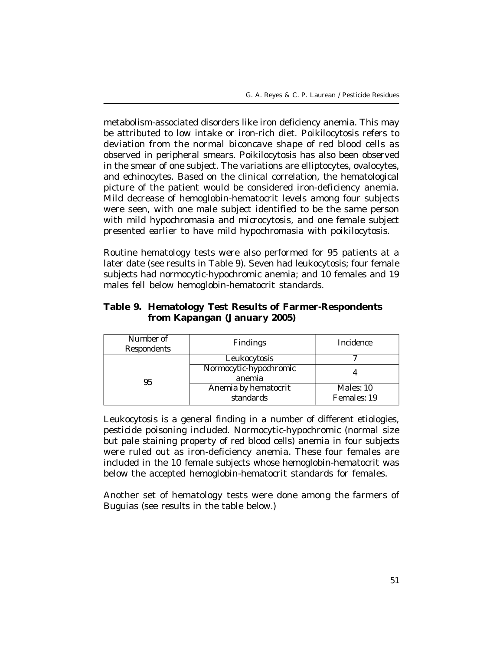metabolism-associated disorders like iron deficiency anemia. This may be attributed to low intake or iron-rich diet. Poikilocytosis refers to deviation from the normal biconcave shape of red blood cells as observed in peripheral smears. Poikilocytosis has also been observed in the smear of one subject. The variations are elliptocytes, ovalocytes, and echinocytes. Based on the clinical correlation, the hematological picture of the patient would be considered iron-deficiency anemia. Mild decrease of hemoglobin-hematocrit levels among four subjects were seen, with one male subject identified to be the same person with mild hypochromasia and microcytosis, and one female subject presented earlier to have mild hypochromasia with poikilocytosis.

Routine hematology tests were also performed for 95 patients at a later date (see results in Table 9). Seven had leukocytosis; four female subjects had normocytic-hypochromic anemia; and 10 females and 19 males fell below hemoglobin-hematocrit standards.

# **Table 9. Hematology Test Results of Farmer-Respondents from Kapangan (January 2005)**

| Number of<br><b>Respondents</b> | <b>Findings</b>        | Incidence   |  |
|---------------------------------|------------------------|-------------|--|
|                                 | Leukocytosis           |             |  |
| 95                              | Normocytic-hypochromic |             |  |
|                                 | anemia                 |             |  |
|                                 | Anemia by hematocrit   | Males: 10   |  |
|                                 | standards              | Females: 19 |  |

Leukocytosis is a general finding in a number of different etiologies, pesticide poisoning included. Normocytic-hypochromic (normal size but pale staining property of red blood cells) anemia in four subjects were ruled out as iron-deficiency anemia. These four females are included in the 10 female subjects whose hemoglobin-hematocrit was below the accepted hemoglobin-hematocrit standards for females.

Another set of hematology tests were done among the farmers of Buguias (see results in the table below.)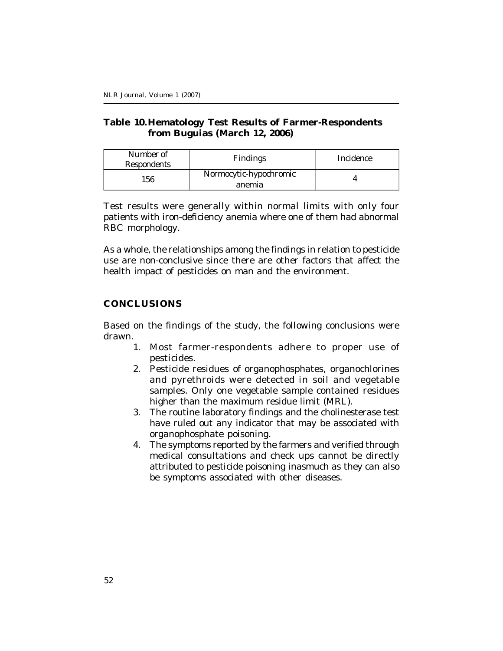# **Table 10.Hematology Test Results of Farmer-Respondents from Buguias (March 12, 2006)**

| Number of<br><b>Respondents</b> | <b>Findings</b>                  | Incidence |
|---------------------------------|----------------------------------|-----------|
| 156                             | Normocytic-hypochromic<br>anemia |           |

Test results were generally within normal limits with only four patients with iron-deficiency anemia where one of them had abnormal RBC morphology.

As a whole, the relationships among the findings in relation to pesticide use are non-conclusive since there are other factors that affect the health impact of pesticides on man and the environment.

# **CONCLUSIONS**

Based on the findings of the study, the following conclusions were drawn.

- 1. Most farmer-respondents adhere to proper use of pesticides.
- 2. Pesticide residues of organophosphates, organochlorines and pyrethroids were detected in soil and vegetable samples. Only one vegetable sample contained residues higher than the maximum residue limit (MRL).
- 3. The routine laboratory findings and the cholinesterase test have ruled out any indicator that may be associated with organophosphate poisoning.
- 4. The symptoms reported by the farmers and verified through medical consultations and check ups cannot be directly attributed to pesticide poisoning inasmuch as they can also be symptoms associated with other diseases.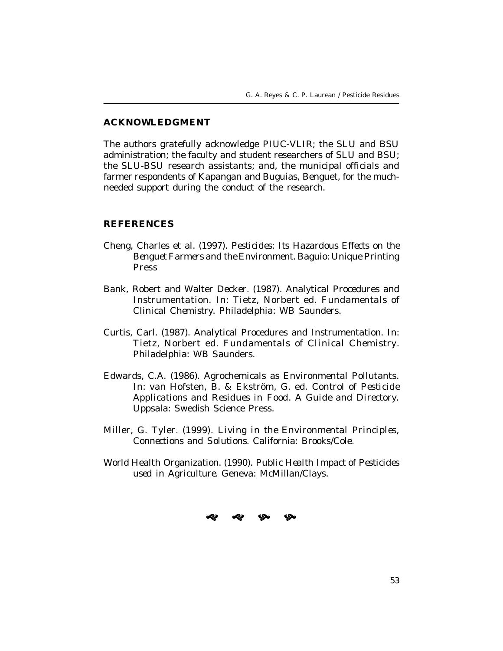#### **ACKNOWLEDGMENT**

The authors gratefully acknowledge PIUC-VLIR; the SLU and BSU administration; the faculty and student researchers of SLU and BSU; the SLU-BSU research assistants; and, the municipal officials and farmer respondents of Kapangan and Buguias, Benguet, for the muchneeded support during the conduct of the research.

### **REFERENCES**

- Cheng, Charles et al. (1997). *Pesticides: Its Hazardous Effects on the Benguet Farmers and the Environment.* Baguio: Unique Printing Press
- Bank, Robert and Walter Decker. (1987). Analytical Procedures and Instrumentation. In: Tietz, Norbert ed. *Fundamentals of Clinical Chemistry*. Philadelphia: WB Saunders.
- Curtis, Carl. (1987). Analytical Procedures and Instrumentation. In: Tietz, Norbert ed. *Fundamentals of Clinical Chemistry*. Philadelphia: WB Saunders.
- Edwards, C.A. (1986). Agrochemicals as Environmental Pollutants. In: van Hofsten, B. & Ekström, G. ed. *Control of Pesticide Applications and Residues in Food. A Guide and Directory.* Uppsala: Swedish Science Press.
- Miller, G. Tyler. (1999). *Living in the Environmental Principles, Connections and Solutions.* California: Brooks/Cole.
- World Health Organization. (1990). *Public Health Impact of Pesticides used in Agriculture.* Geneva: McMillan/Clays.